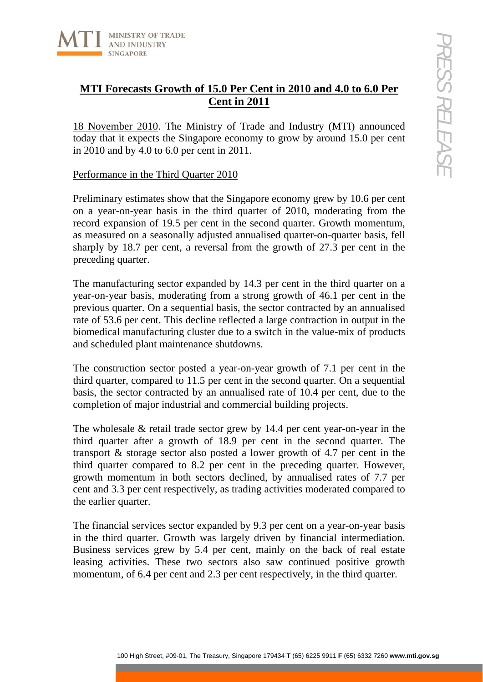

# **MTI Forecasts Growth of 15.0 Per Cent in 2010 and 4.0 to 6.0 Per Cent in 2011**

18 November 2010. The Ministry of Trade and Industry (MTI) announced today that it expects the Singapore economy to grow by around 15.0 per cent in 2010 and by 4.0 to 6.0 per cent in 2011.

## Performance in the Third Quarter 2010

Preliminary estimates show that the Singapore economy grew by 10.6 per cent on a year-on-year basis in the third quarter of 2010, moderating from the record expansion of 19.5 per cent in the second quarter. Growth momentum, as measured on a seasonally adjusted annualised quarter-on-quarter basis, fell sharply by 18.7 per cent, a reversal from the growth of 27.3 per cent in the preceding quarter.

The manufacturing sector expanded by 14.3 per cent in the third quarter on a year-on-year basis, moderating from a strong growth of 46.1 per cent in the previous quarter. On a sequential basis, the sector contracted by an annualised rate of 53.6 per cent. This decline reflected a large contraction in output in the biomedical manufacturing cluster due to a switch in the value-mix of products and scheduled plant maintenance shutdowns.

The construction sector posted a year-on-year growth of 7.1 per cent in the third quarter, compared to 11.5 per cent in the second quarter. On a sequential basis, the sector contracted by an annualised rate of 10.4 per cent, due to the completion of major industrial and commercial building projects.

**Example 10** High Street in 2010 and 4.0 to 6.0 Per<br>
Cent in 2011<br> **Examplement Content in 2010** and 4.0 to 6.0 Per<br>
Cent in 2011<br> **Examplement Content in 2011**<br> **Examplement Content in 2011**<br> **Content in Suppement Conten** The wholesale & retail trade sector grew by 14.4 per cent year-on-year in the third quarter after a growth of 18.9 per cent in the second quarter. The transport & storage sector also posted a lower growth of 4.7 per cent in the third quarter compared to 8.2 per cent in the preceding quarter. However, growth momentum in both sectors declined, by annualised rates of 7.7 per cent and 3.3 per cent respectively, as trading activities moderated compared to the earlier quarter.

The financial services sector expanded by 9.3 per cent on a year-on-year basis in the third quarter. Growth was largely driven by financial intermediation. Business services grew by 5.4 per cent, mainly on the back of real estate leasing activities. These two sectors also saw continued positive growth momentum, of 6.4 per cent and 2.3 per cent respectively, in the third quarter.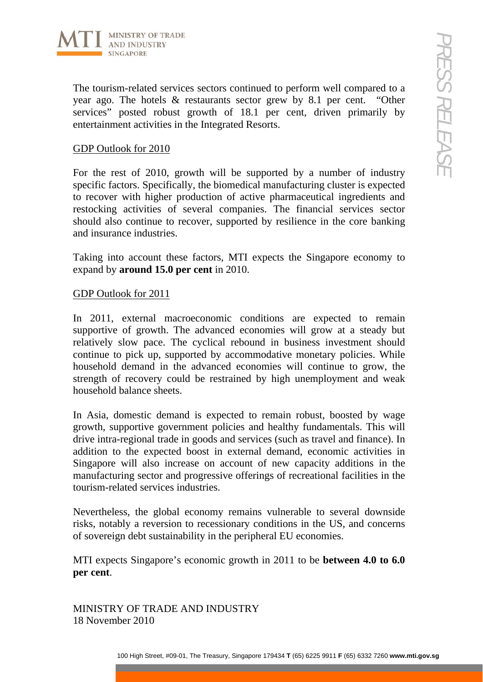

The tourism-related services sectors continued to perform well compared to a year ago. The hotels & restaurants sector grew by 8.1 per cent. "Other services" posted robust growth of 18.1 per cent, driven primarily by entertainment activities in the Integrated Resorts.

## GDP Outlook for 2010

For the rest of 2010, growth will be supported by a number of industry specific factors. Specifically, the biomedical manufacturing cluster is expected to recover with higher production of active pharmaceutical ingredients and restocking activities of several companies. The financial services sector should also continue to recover, supported by resilience in the core banking and insurance industries.

Taking into account these factors, MTI expects the Singapore economy to expand by **around 15.0 per cent** in 2010.

### GDP Outlook for 2011

100 High Street Street, and Treasury, Singapore 179434 The Treasury, Singapore 179434 The Street Street, and Treasury, Societies in the Ineprendent Research Most a moment of Transmission of the Treasury of the Treasury of In 2011, external macroeconomic conditions are expected to remain supportive of growth. The advanced economies will grow at a steady but relatively slow pace. The cyclical rebound in business investment should continue to pick up, supported by accommodative monetary policies. While household demand in the advanced economies will continue to grow, the strength of recovery could be restrained by high unemployment and weak household balance sheets.

In Asia, domestic demand is expected to remain robust, boosted by wage growth, supportive government policies and healthy fundamentals. This will drive intra-regional trade in goods and services (such as travel and finance). In addition to the expected boost in external demand, economic activities in Singapore will also increase on account of new capacity additions in the manufacturing sector and progressive offerings of recreational facilities in the tourism-related services industries.

Nevertheless, the global economy remains vulnerable to several downside risks, notably a reversion to recessionary conditions in the US, and concerns of sovereign debt sustainability in the peripheral EU economies.

MTI expects Singapore's economic growth in 2011 to be **between 4.0 to 6.0 per cent**.

MINISTRY OF TRADE AND INDUSTRY 18 November 2010